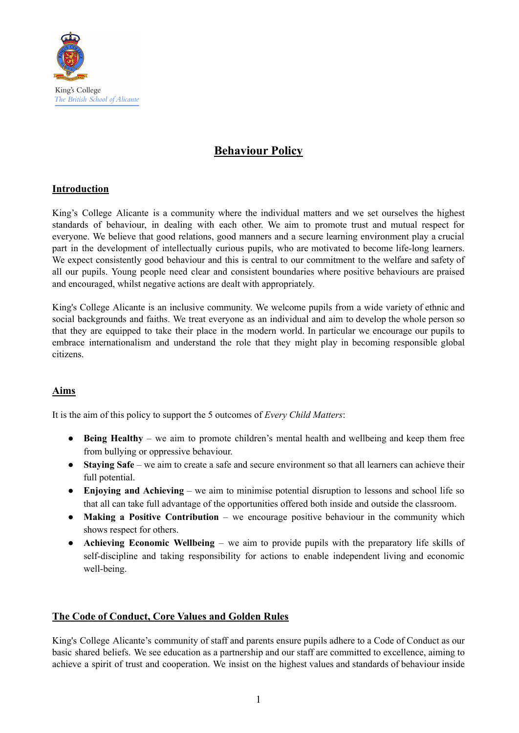

# **Behaviour Policy**

## **Introduction**

King's College Alicante is a community where the individual matters and we set ourselves the highest standards of behaviour, in dealing with each other. We aim to promote trust and mutual respect for everyone. We believe that good relations, good manners and a secure learning environment play a crucial part in the development of intellectually curious pupils, who are motivated to become life-long learners. We expect consistently good behaviour and this is central to our commitment to the welfare and safety of all our pupils. Young people need clear and consistent boundaries where positive behaviours are praised and encouraged, whilst negative actions are dealt with appropriately.

King's College Alicante is an inclusive community. We welcome pupils from a wide variety of ethnic and social backgrounds and faiths. We treat everyone as an individual and aim to develop the whole person so that they are equipped to take their place in the modern world. In particular we encourage our pupils to embrace internationalism and understand the role that they might play in becoming responsible global citizens.

#### **Aims**

It is the aim of this policy to support the 5 outcomes of *Every Child Matters*:

- **Being Healthy** we aim to promote children's mental health and wellbeing and keep them free from bullying or oppressive behaviour.
- **Staying Safe** we aim to create a safe and secure environment so that all learners can achieve their full potential.
- **Enjoying and Achieving** we aim to minimise potential disruption to lessons and school life so that all can take full advantage of the opportunities offered both inside and outside the classroom.
- **Making a Positive Contribution** we encourage positive behaviour in the community which shows respect for others.
- **Achieving Economic Wellbeing** we aim to provide pupils with the preparatory life skills of self-discipline and taking responsibility for actions to enable independent living and economic well-being.

#### **The Code of Conduct, Core Values and Golden Rules**

King's College Alicante's community of staff and parents ensure pupils adhere to a Code of Conduct as our basic shared beliefs. We see education as a partnership and our staff are committed to excellence, aiming to achieve a spirit of trust and cooperation. We insist on the highest values and standards of behaviour inside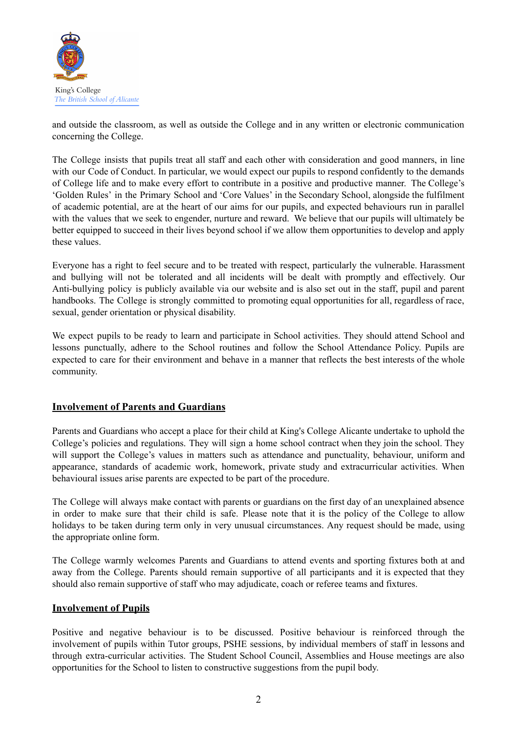

and outside the classroom, as well as outside the College and in any written or electronic communication concerning the College.

The College insists that pupils treat all staff and each other with consideration and good manners, in line with our Code of Conduct. In particular, we would expect our pupils to respond confidently to the demands of College life and to make every effort to contribute in a positive and productive manner. The College's 'Golden Rules' in the Primary School and 'Core Values' in the Secondary School, alongside the fulfilment of academic potential, are at the heart of our aims for our pupils, and expected behaviours run in parallel with the values that we seek to engender, nurture and reward. We believe that our pupils will ultimately be better equipped to succeed in their lives beyond school if we allow them opportunities to develop and apply these values.

Everyone has a right to feel secure and to be treated with respect, particularly the vulnerable. Harassment and bullying will not be tolerated and all incidents will be dealt with promptly and effectively. Our Anti-bullying policy is publicly available via our website and is also set out in the staff, pupil and parent handbooks. The College is strongly committed to promoting equal opportunities for all, regardless of race, sexual, gender orientation or physical disability.

We expect pupils to be ready to learn and participate in School activities. They should attend School and lessons punctually, adhere to the School routines and follow the School Attendance Policy. Pupils are expected to care for their environment and behave in a manner that reflects the best interests of the whole community.

#### **Involvement of Parents and Guardians**

Parents and Guardians who accept a place for their child at King's College Alicante undertake to uphold the College's policies and regulations. They will sign a home school contract when they join the school. They will support the College's values in matters such as attendance and punctuality, behaviour, uniform and appearance, standards of academic work, homework, private study and extracurricular activities. When behavioural issues arise parents are expected to be part of the procedure.

The College will always make contact with parents or guardians on the first day of an unexplained absence in order to make sure that their child is safe. Please note that it is the policy of the College to allow holidays to be taken during term only in very unusual circumstances. Any request should be made, using the appropriate online form.

The College warmly welcomes Parents and Guardians to attend events and sporting fixtures both at and away from the College. Parents should remain supportive of all participants and it is expected that they should also remain supportive of staff who may adjudicate, coach or referee teams and fixtures.

#### **Involvement of Pupils**

Positive and negative behaviour is to be discussed. Positive behaviour is reinforced through the involvement of pupils within Tutor groups, PSHE sessions, by individual members of staff in lessons and through extra-curricular activities. The Student School Council, Assemblies and House meetings are also opportunities for the School to listen to constructive suggestions from the pupil body.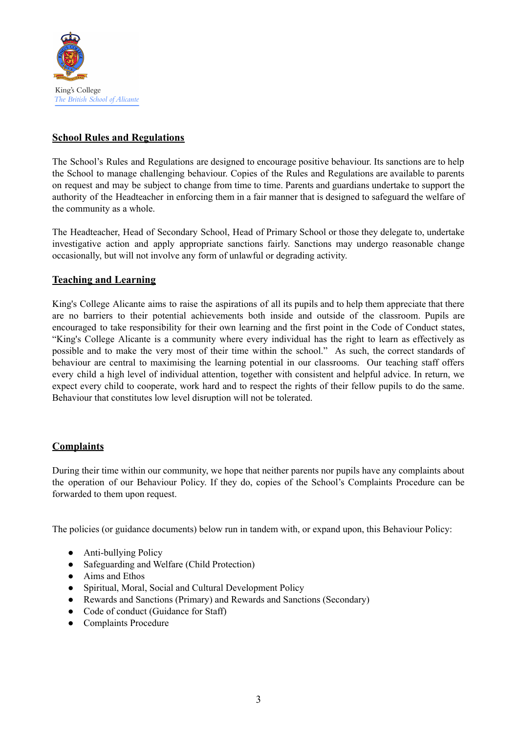

### **School Rules and Regulations**

The School's Rules and Regulations are designed to encourage positive behaviour. Its sanctions are to help the School to manage challenging behaviour. Copies of the Rules and Regulations are available to parents on request and may be subject to change from time to time. Parents and guardians undertake to support the authority of the Headteacher in enforcing them in a fair manner that is designed to safeguard the welfare of the community as a whole.

The Headteacher, Head of Secondary School, Head of Primary School or those they delegate to, undertake investigative action and apply appropriate sanctions fairly. Sanctions may undergo reasonable change occasionally, but will not involve any form of unlawful or degrading activity.

#### **Teaching and Learning**

King's College Alicante aims to raise the aspirations of all its pupils and to help them appreciate that there are no barriers to their potential achievements both inside and outside of the classroom. Pupils are encouraged to take responsibility for their own learning and the first point in the Code of Conduct states, "King's College Alicante is a community where every individual has the right to learn as effectively as possible and to make the very most of their time within the school." As such, the correct standards of behaviour are central to maximising the learning potential in our classrooms. Our teaching staff offers every child a high level of individual attention, together with consistent and helpful advice. In return, we expect every child to cooperate, work hard and to respect the rights of their fellow pupils to do the same. Behaviour that constitutes low level disruption will not be tolerated.

#### **Complaints**

During their time within our community, we hope that neither parents nor pupils have any complaints about the operation of our Behaviour Policy. If they do, copies of the School's Complaints Procedure can be forwarded to them upon request.

The policies (or guidance documents) below run in tandem with, or expand upon, this Behaviour Policy:

- Anti-bullying Policy
- Safeguarding and Welfare (Child Protection)
- Aims and Ethos
- Spiritual, Moral, Social and Cultural Development Policy
- Rewards and Sanctions (Primary) and Rewards and Sanctions (Secondary)
- Code of conduct (Guidance for Staff)
- Complaints Procedure